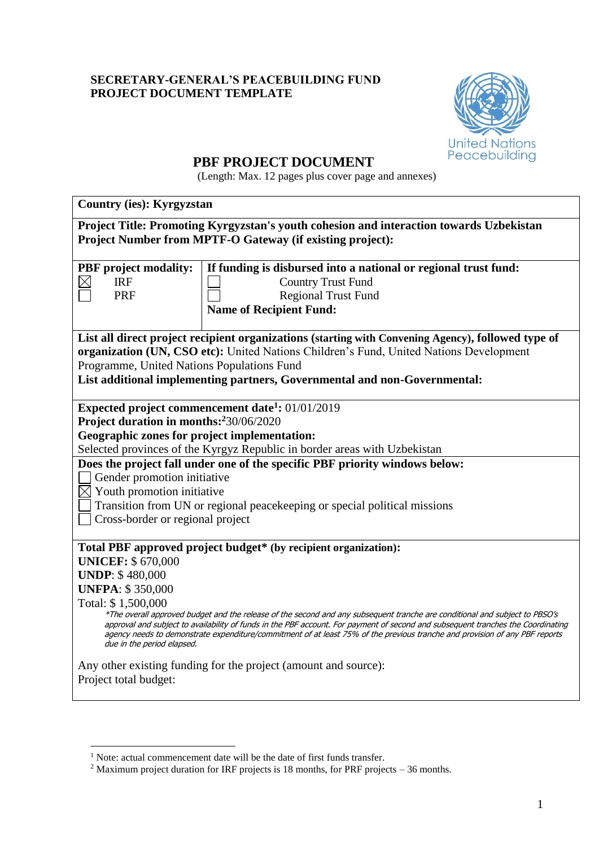# **SECRETARY-GENERAL'S PEACEBUILDING FUND PROJECT DOCUMENT TEMPLATE**



# **PBF PROJECT DOCUMENT**

(Length: Max. 12 pages plus cover page and annexes)

| <b>Country (ies): Kyrgyzstan</b>                                                                                                                                                                                                                                |                                                                                                    |  |  |
|-----------------------------------------------------------------------------------------------------------------------------------------------------------------------------------------------------------------------------------------------------------------|----------------------------------------------------------------------------------------------------|--|--|
| Project Title: Promoting Kyrgyzstan's youth cohesion and interaction towards Uzbekistan                                                                                                                                                                         |                                                                                                    |  |  |
|                                                                                                                                                                                                                                                                 | <b>Project Number from MPTF-O Gateway (if existing project):</b>                                   |  |  |
|                                                                                                                                                                                                                                                                 |                                                                                                    |  |  |
| <b>PBF</b> project modality:                                                                                                                                                                                                                                    | If funding is disbursed into a national or regional trust fund:                                    |  |  |
| <b>IRF</b>                                                                                                                                                                                                                                                      | <b>Country Trust Fund</b>                                                                          |  |  |
| <b>PRF</b>                                                                                                                                                                                                                                                      | <b>Regional Trust Fund</b>                                                                         |  |  |
|                                                                                                                                                                                                                                                                 | <b>Name of Recipient Fund:</b>                                                                     |  |  |
|                                                                                                                                                                                                                                                                 | List all direct project recipient organizations (starting with Convening Agency), followed type of |  |  |
|                                                                                                                                                                                                                                                                 | organization (UN, CSO etc): United Nations Children's Fund, United Nations Development             |  |  |
| Programme, United Nations Populations Fund                                                                                                                                                                                                                      |                                                                                                    |  |  |
|                                                                                                                                                                                                                                                                 | List additional implementing partners, Governmental and non-Governmental:                          |  |  |
|                                                                                                                                                                                                                                                                 |                                                                                                    |  |  |
|                                                                                                                                                                                                                                                                 | Expected project commencement date <sup>1</sup> : $01/01/2019$                                     |  |  |
| Project duration in months: 230/06/2020                                                                                                                                                                                                                         |                                                                                                    |  |  |
| <b>Geographic zones for project implementation:</b>                                                                                                                                                                                                             |                                                                                                    |  |  |
|                                                                                                                                                                                                                                                                 | Selected provinces of the Kyrgyz Republic in border areas with Uzbekistan                          |  |  |
| Does the project fall under one of the specific PBF priority windows below:                                                                                                                                                                                     |                                                                                                    |  |  |
| Gender promotion initiative                                                                                                                                                                                                                                     |                                                                                                    |  |  |
| $\boxtimes$ Youth promotion initiative                                                                                                                                                                                                                          |                                                                                                    |  |  |
|                                                                                                                                                                                                                                                                 | Transition from UN or regional peace keeping or special political missions                         |  |  |
| Cross-border or regional project                                                                                                                                                                                                                                |                                                                                                    |  |  |
|                                                                                                                                                                                                                                                                 | Total PBF approved project budget* (by recipient organization):                                    |  |  |
| <b>UNICEF: \$ 670,000</b>                                                                                                                                                                                                                                       |                                                                                                    |  |  |
| <b>UNDP: \$480,000</b>                                                                                                                                                                                                                                          |                                                                                                    |  |  |
| <b>UNFPA: \$350,000</b>                                                                                                                                                                                                                                         |                                                                                                    |  |  |
| Total: \$1,500,000                                                                                                                                                                                                                                              |                                                                                                    |  |  |
| *The overall approved budget and the release of the second and any subsequent tranche are conditional and subject to PBSO's<br>approval and subject to availability of funds in the PBF account. For payment of second and subsequent tranches the Coordinating |                                                                                                    |  |  |
| agency needs to demonstrate expenditure/commitment of at least 75% of the previous tranche and provision of any PBF reports<br>due in the period elapsed.                                                                                                       |                                                                                                    |  |  |
| Any other existing funding for the project (amount and source):                                                                                                                                                                                                 |                                                                                                    |  |  |
| Project total budget:                                                                                                                                                                                                                                           |                                                                                                    |  |  |
|                                                                                                                                                                                                                                                                 |                                                                                                    |  |  |

1

<sup>&</sup>lt;sup>1</sup> Note: actual commencement date will be the date of first funds transfer.

<sup>&</sup>lt;sup>2</sup> Maximum project duration for IRF projects is 18 months, for PRF projects – 36 months.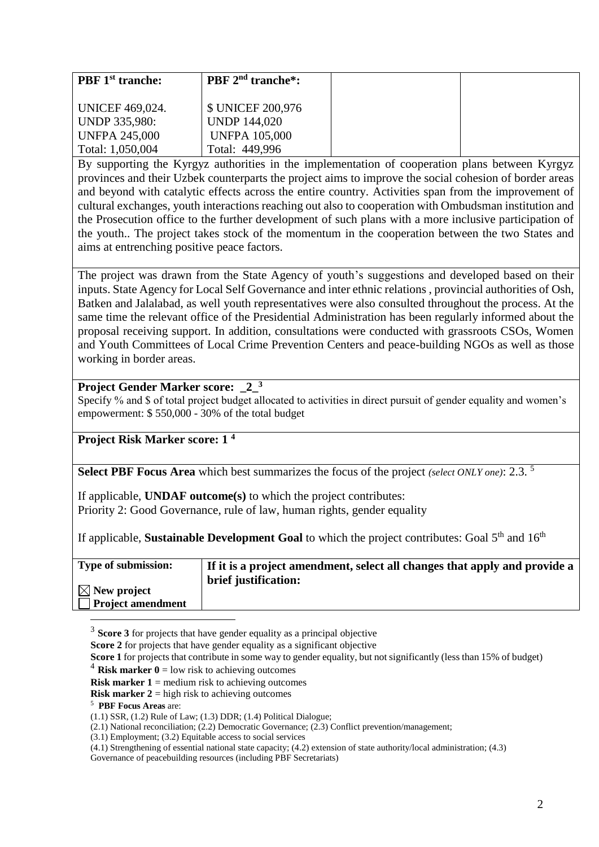| <b>PBF</b> 1 <sup>st</sup> tranche: | <b>PBF</b> $2^{nd}$ tranche <sup>*</sup> : |  |
|-------------------------------------|--------------------------------------------|--|
|                                     |                                            |  |
| <b>UNICEF 469,024.</b>              | \$ UNICEF 200,976                          |  |
| UNDP 335,980:                       | <b>UNDP 144,020</b>                        |  |
| <b>UNFPA 245,000</b>                | <b>UNFPA 105,000</b>                       |  |
| Total: 1,050,004                    | Total: 449,996                             |  |

By supporting the Kyrgyz authorities in the implementation of cooperation plans between Kyrgyz provinces and their Uzbek counterparts the project aims to improve the social cohesion of border areas and beyond with catalytic effects across the entire country. Activities span from the improvement of cultural exchanges, youth interactions reaching out also to cooperation with Ombudsman institution and the Prosecution office to the further development of such plans with a more inclusive participation of the youth.. The project takes stock of the momentum in the cooperation between the two States and aims at entrenching positive peace factors.

The project was drawn from the State Agency of youth's suggestions and developed based on their inputs. State Agency for Local Self Governance and inter ethnic relations , provincial authorities of Osh, Batken and Jalalabad, as well youth representatives were also consulted throughout the process. At the same time the relevant office of the Presidential Administration has been regularly informed about the proposal receiving support. In addition, consultations were conducted with grassroots CSOs, Women and Youth Committees of Local Crime Prevention Centers and peace-building NGOs as well as those working in border areas.

#### **Project Gender Marker score: \_2\_ 3**

Specify % and \$ of total project budget allocated to activities in direct pursuit of gender equality and women's empowerment: \$ 550,000 - 30% of the total budget

#### **Project Risk Marker score: 1 <sup>4</sup>**

**Select PBF Focus Area** which best summarizes the focus of the project *(select ONLY one)*: 2.3. <sup>5</sup>

If applicable, **UNDAF outcome(s)** to which the project contributes: Priority 2: Good Governance, rule of law, human rights, gender equality

If applicable, **Sustainable Development Goal** to which the project contributes: Goal 5<sup>th</sup> and 16<sup>th</sup>

| <b>Type of submission:</b> | If it is a project amendment, select all changes that apply and provide a |
|----------------------------|---------------------------------------------------------------------------|
|                            | brief justification:                                                      |
| $\boxtimes$ New project    |                                                                           |
| Project amendment          |                                                                           |
|                            |                                                                           |

<sup>3</sup> Score 3 for projects that have gender equality as a principal objective

**Score 2** for projects that have gender equality as a significant objective

**Score 1** for projects that contribute in some way to gender equality, but not significantly (less than 15% of budget)

<sup>4</sup> **Risk marker 0** = low risk to achieving outcomes

**Risk marker 1** = medium risk to achieving outcomes

**Risk marker 2** = high risk to achieving outcomes

#### <sup>5</sup> **PBF Focus Areas** are:

(1.1) SSR, (1.2) Rule of Law; (1.3) DDR; (1.4) Political Dialogue;

(2.1) National reconciliation; (2.2) Democratic Governance; (2.3) Conflict prevention/management;

(3.1) Employment; (3.2) Equitable access to social services

(4.1) Strengthening of essential national state capacity; (4.2) extension of state authority/local administration; (4.3)

Governance of peacebuilding resources (including PBF Secretariats)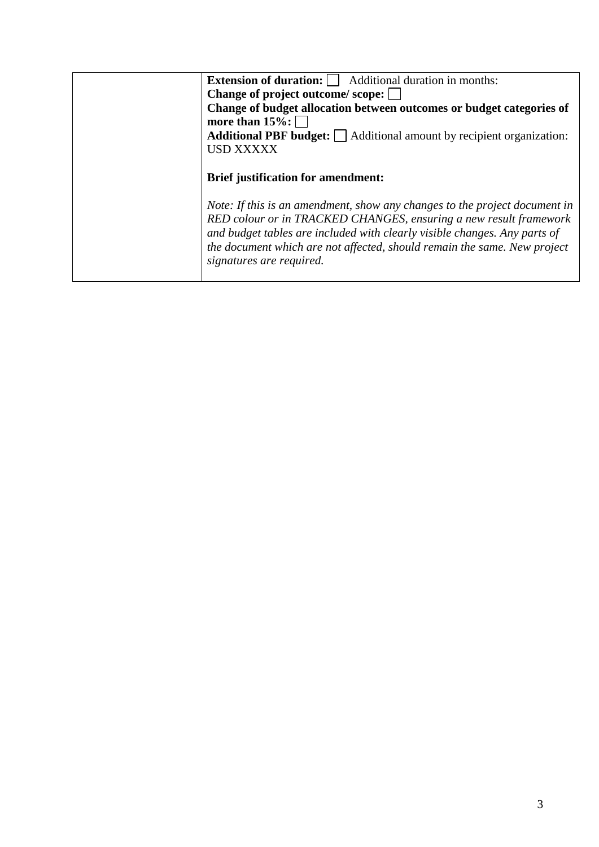| <b>Extension of duration:</b>     Additional duration in months:                                                                                                                                                                                                                                                                     |
|--------------------------------------------------------------------------------------------------------------------------------------------------------------------------------------------------------------------------------------------------------------------------------------------------------------------------------------|
| Change of project outcome/scope:                                                                                                                                                                                                                                                                                                     |
| Change of budget allocation between outcomes or budget categories of                                                                                                                                                                                                                                                                 |
| more than $15\%$ :                                                                                                                                                                                                                                                                                                                   |
| <b>Additional PBF budget:</b>   Additional amount by recipient organization:                                                                                                                                                                                                                                                         |
| <b>USD XXXXX</b>                                                                                                                                                                                                                                                                                                                     |
|                                                                                                                                                                                                                                                                                                                                      |
| <b>Brief justification for amendment:</b>                                                                                                                                                                                                                                                                                            |
| Note: If this is an amendment, show any changes to the project document in<br>RED colour or in TRACKED CHANGES, ensuring a new result framework<br>and budget tables are included with clearly visible changes. Any parts of<br>the document which are not affected, should remain the same. New project<br>signatures are required. |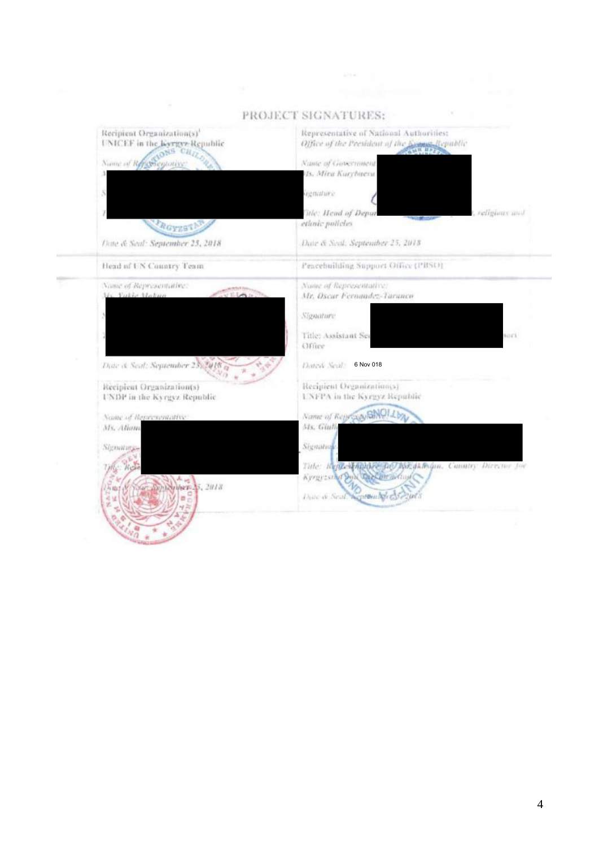

#### PROJECT SIGNATURES: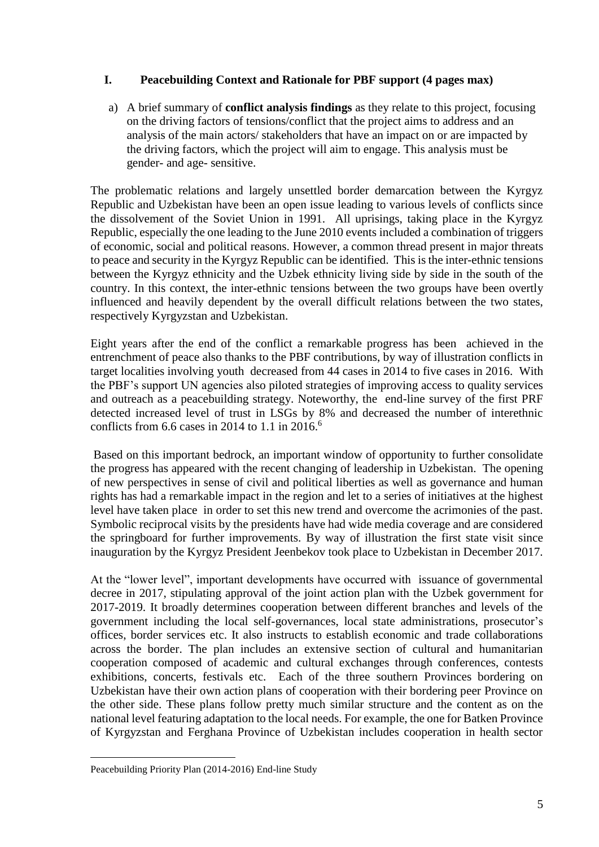# **I. Peacebuilding Context and Rationale for PBF support (4 pages max)**

a) A brief summary of **conflict analysis findings** as they relate to this project, focusing on the driving factors of tensions/conflict that the project aims to address and an analysis of the main actors/ stakeholders that have an impact on or are impacted by the driving factors, which the project will aim to engage. This analysis must be gender- and age- sensitive.

The problematic relations and largely unsettled border demarcation between the Kyrgyz Republic and Uzbekistan have been an open issue leading to various levels of conflicts since the dissolvement of the Soviet Union in 1991. All uprisings, taking place in the Kyrgyz Republic, especially the one leading to the June 2010 events included a combination of triggers of economic, social and political reasons. However, a common thread present in major threats to peace and security in the Kyrgyz Republic can be identified. This is the inter-ethnic tensions between the Kyrgyz ethnicity and the Uzbek ethnicity living side by side in the south of the country. In this context, the inter-ethnic tensions between the two groups have been overtly influenced and heavily dependent by the overall difficult relations between the two states, respectively Kyrgyzstan and Uzbekistan.

Eight years after the end of the conflict a remarkable progress has been achieved in the entrenchment of peace also thanks to the PBF contributions, by way of illustration conflicts in target localities involving youth decreased from 44 cases in 2014 to five cases in 2016. With the PBF's support UN agencies also piloted strategies of improving access to quality services and outreach as a peacebuilding strategy. Noteworthy, the end-line survey of the first PRF detected increased level of trust in LSGs by 8% and decreased the number of interethnic conflicts from  $6.6$  cases in 2014 to 1.1 in 2016.<sup>6</sup>

Based on this important bedrock, an important window of opportunity to further consolidate the progress has appeared with the recent changing of leadership in Uzbekistan. The opening of new perspectives in sense of civil and political liberties as well as governance and human rights has had a remarkable impact in the region and let to a series of initiatives at the highest level have taken place in order to set this new trend and overcome the acrimonies of the past. Symbolic reciprocal visits by the presidents have had wide media coverage and are considered the springboard for further improvements. By way of illustration the first state visit since inauguration by the Kyrgyz President Jeenbekov took place to Uzbekistan in December 2017.

At the "lower level", important developments have occurred with issuance of governmental decree in 2017, stipulating approval of the joint action plan with the Uzbek government for 2017-2019. It broadly determines cooperation between different branches and levels of the government including the local self-governances, local state administrations, prosecutor's offices, border services etc. It also instructs to establish economic and trade collaborations across the border. The plan includes an extensive section of cultural and humanitarian cooperation composed of academic and cultural exchanges through conferences, contests exhibitions, concerts, festivals etc. Each of the three southern Provinces bordering on Uzbekistan have their own action plans of cooperation with their bordering peer Province on the other side. These plans follow pretty much similar structure and the content as on the national level featuring adaptation to the local needs. For example, the one for Batken Province of Kyrgyzstan and Ferghana Province of Uzbekistan includes cooperation in health sector

<sup>1</sup> Peacebuilding Priority Plan (2014-2016) End-line Study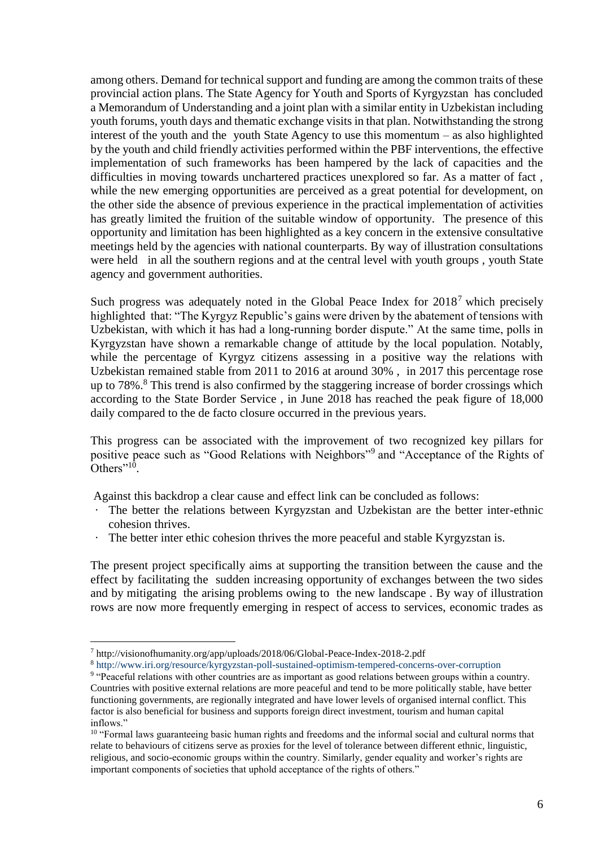among others. Demand for technical support and funding are among the common traits of these provincial action plans. The State Agency for Youth and Sports of Kyrgyzstan has concluded a Memorandum of Understanding and a joint plan with a similar entity in Uzbekistan including youth forums, youth days and thematic exchange visits in that plan. Notwithstanding the strong interest of the youth and the youth State Agency to use this momentum – as also highlighted by the youth and child friendly activities performed within the PBF interventions, the effective implementation of such frameworks has been hampered by the lack of capacities and the difficulties in moving towards unchartered practices unexplored so far. As a matter of fact , while the new emerging opportunities are perceived as a great potential for development, on the other side the absence of previous experience in the practical implementation of activities has greatly limited the fruition of the suitable window of opportunity. The presence of this opportunity and limitation has been highlighted as a key concern in the extensive consultative meetings held by the agencies with national counterparts. By way of illustration consultations were held in all the southern regions and at the central level with youth groups , youth State agency and government authorities.

Such progress was adequately noted in the Global Peace Index for 2018<sup>7</sup> which precisely highlighted that: "The Kyrgyz Republic's gains were driven by the abatement of tensions with Uzbekistan, with which it has had a long-running border dispute." At the same time, polls in Kyrgyzstan have shown a remarkable change of attitude by the local population. Notably, while the percentage of Kyrgyz citizens assessing in a positive way the relations with Uzbekistan remained stable from 2011 to 2016 at around 30% , in 2017 this percentage rose up to 78%.<sup>8</sup> This trend is also confirmed by the staggering increase of border crossings which according to the State Border Service , in June 2018 has reached the peak figure of 18,000 daily compared to the de facto closure occurred in the previous years.

This progress can be associated with the improvement of two recognized key pillars for positive peace such as "Good Relations with Neighbors"<sup>9</sup> and "Acceptance of the Rights of Others"<sup>10</sup>.

Against this backdrop a clear cause and effect link can be concluded as follows:

- The better the relations between Kyrgyzstan and Uzbekistan are the better inter-ethnic cohesion thrives.
- The better inter ethic cohesion thrives the more peaceful and stable Kyrgyzstan is.

The present project specifically aims at supporting the transition between the cause and the effect by facilitating the sudden increasing opportunity of exchanges between the two sides and by mitigating the arising problems owing to the new landscape . By way of illustration rows are now more frequently emerging in respect of access to services, economic trades as

1

<sup>7</sup> http://visionofhumanity.org/app/uploads/2018/06/Global-Peace-Index-2018-2.pdf

<sup>8</sup> <http://www.iri.org/resource/kyrgyzstan-poll-sustained-optimism-tempered-concerns-over-corruption>

<sup>&</sup>lt;sup>9</sup> "Peaceful relations with other countries are as important as good relations between groups within a country. Countries with positive external relations are more peaceful and tend to be more politically stable, have better functioning governments, are regionally integrated and have lower levels of organised internal conflict. This factor is also beneficial for business and supports foreign direct investment, tourism and human capital inflows."

<sup>&</sup>lt;sup>10</sup> "Formal laws guaranteeing basic human rights and freedoms and the informal social and cultural norms that relate to behaviours of citizens serve as proxies for the level of tolerance between different ethnic, linguistic, religious, and socio-economic groups within the country. Similarly, gender equality and worker's rights are important components of societies that uphold acceptance of the rights of others."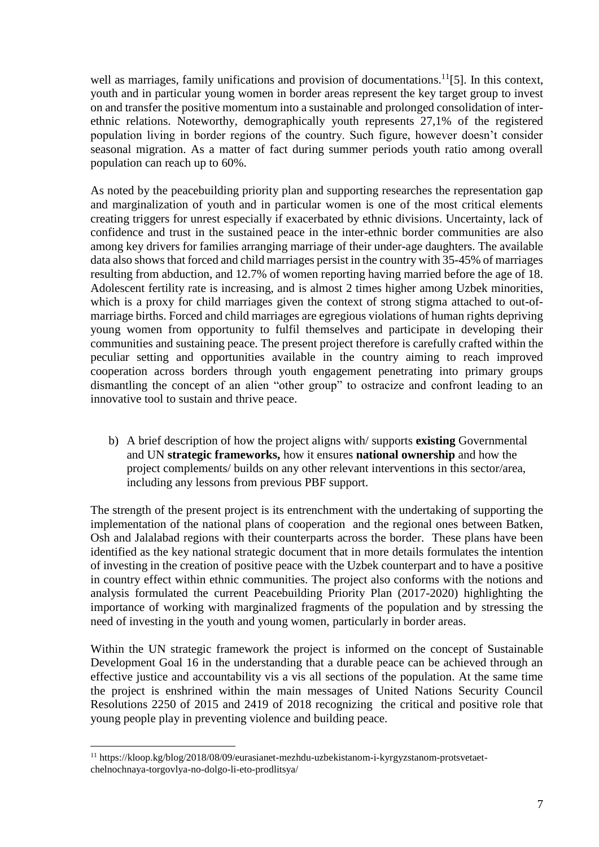well as marriages, family unifications and provision of documentations.<sup>11</sup>[5]. In this context, youth and in particular young women in border areas represent the key target group to invest on and transfer the positive momentum into a sustainable and prolonged consolidation of interethnic relations. Noteworthy, demographically youth represents 27,1% of the registered population living in border regions of the country. Such figure, however doesn't consider seasonal migration. As a matter of fact during summer periods youth ratio among overall population can reach up to 60%.

As noted by the peacebuilding priority plan and supporting researches the representation gap and marginalization of youth and in particular women is one of the most critical elements creating triggers for unrest especially if exacerbated by ethnic divisions. Uncertainty, lack of confidence and trust in the sustained peace in the inter-ethnic border communities are also among key drivers for families arranging marriage of their under-age daughters. The available data also shows that forced and child marriages persist in the country with 35-45% of marriages resulting from abduction, and 12.7% of women reporting having married before the age of 18. Adolescent fertility rate is increasing, and is almost 2 times higher among Uzbek minorities, which is a proxy for child marriages given the context of strong stigma attached to out-ofmarriage births. Forced and child marriages are egregious violations of human rights depriving young women from opportunity to fulfil themselves and participate in developing their communities and sustaining peace. The present project therefore is carefully crafted within the peculiar setting and opportunities available in the country aiming to reach improved cooperation across borders through youth engagement penetrating into primary groups dismantling the concept of an alien "other group" to ostracize and confront leading to an innovative tool to sustain and thrive peace.

b) A brief description of how the project aligns with/ supports **existing** Governmental and UN **strategic frameworks,** how it ensures **national ownership** and how the project complements/ builds on any other relevant interventions in this sector/area, including any lessons from previous PBF support.

The strength of the present project is its entrenchment with the undertaking of supporting the implementation of the national plans of cooperation and the regional ones between Batken, Osh and Jalalabad regions with their counterparts across the border. These plans have been identified as the key national strategic document that in more details formulates the intention of investing in the creation of positive peace with the Uzbek counterpart and to have a positive in country effect within ethnic communities. The project also conforms with the notions and analysis formulated the current Peacebuilding Priority Plan (2017-2020) highlighting the importance of working with marginalized fragments of the population and by stressing the need of investing in the youth and young women, particularly in border areas.

Within the UN strategic framework the project is informed on the concept of Sustainable Development Goal 16 in the understanding that a durable peace can be achieved through an effective justice and accountability vis a vis all sections of the population. At the same time the project is enshrined within the main messages of United Nations Security Council Resolutions 2250 of 2015 and 2419 of 2018 recognizing the critical and positive role that young people play in preventing violence and building peace.

1

<sup>11</sup> https://kloop.kg/blog/2018/08/09/eurasianet-mezhdu-uzbekistanom-i-kyrgyzstanom-protsvetaetchelnochnaya-torgovlya-no-dolgo-li-eto-prodlitsya/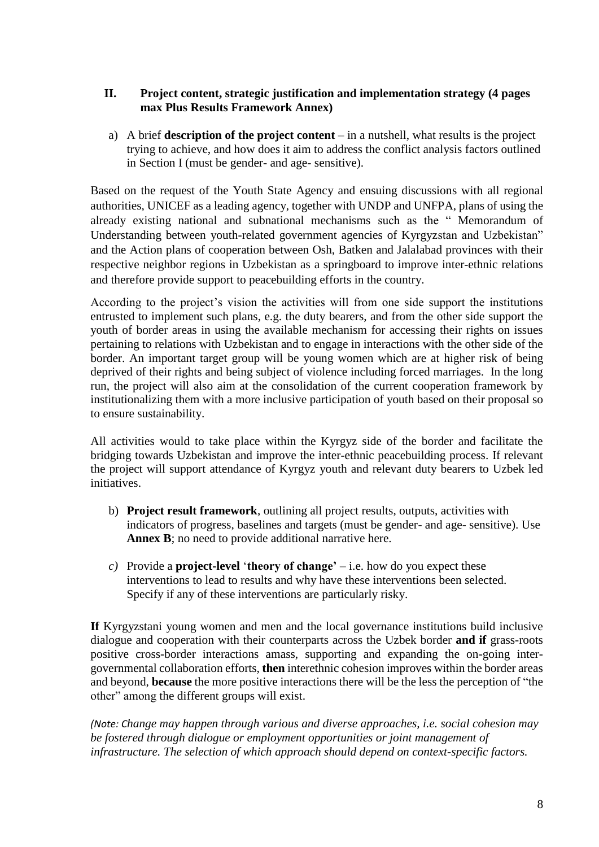# **II. Project content, strategic justification and implementation strategy (4 pages max Plus Results Framework Annex)**

a) A brief **description of the project content** – in a nutshell, what results is the project trying to achieve, and how does it aim to address the conflict analysis factors outlined in Section I (must be gender- and age- sensitive).

Based on the request of the Youth State Agency and ensuing discussions with all regional authorities, UNICEF as a leading agency, together with UNDP and UNFPA, plans of using the already existing national and subnational mechanisms such as the " Memorandum of Understanding between youth-related government agencies of Kyrgyzstan and Uzbekistan" and the Action plans of cooperation between Osh, Batken and Jalalabad provinces with their respective neighbor regions in Uzbekistan as a springboard to improve inter-ethnic relations and therefore provide support to peacebuilding efforts in the country.

According to the project's vision the activities will from one side support the institutions entrusted to implement such plans, e.g. the duty bearers, and from the other side support the youth of border areas in using the available mechanism for accessing their rights on issues pertaining to relations with Uzbekistan and to engage in interactions with the other side of the border. An important target group will be young women which are at higher risk of being deprived of their rights and being subject of violence including forced marriages. In the long run, the project will also aim at the consolidation of the current cooperation framework by institutionalizing them with a more inclusive participation of youth based on their proposal so to ensure sustainability.

All activities would to take place within the Kyrgyz side of the border and facilitate the bridging towards Uzbekistan and improve the inter-ethnic peacebuilding process. If relevant the project will support attendance of Kyrgyz youth and relevant duty bearers to Uzbek led initiatives.

- b) **Project result framework**, outlining all project results, outputs, activities with indicators of progress, baselines and targets (must be gender- and age- sensitive). Use Annex B; no need to provide additional narrative here.
- *c*) Provide a **project-level** '**theory of change'**  $-$  i.e. how do you expect these interventions to lead to results and why have these interventions been selected. Specify if any of these interventions are particularly risky.

**If** Kyrgyzstani young women and men and the local governance institutions build inclusive dialogue and cooperation with their counterparts across the Uzbek border **and if** grass-roots positive cross-border interactions amass, supporting and expanding the on-going intergovernmental collaboration efforts, **then** interethnic cohesion improves within the border areas and beyond, **because** the more positive interactions there will be the less the perception of "the other" among the different groups will exist.

*(Note: Change may happen through various and diverse approaches, i.e. social cohesion may be fostered through dialogue or employment opportunities or joint management of infrastructure. The selection of which approach should depend on context-specific factors.*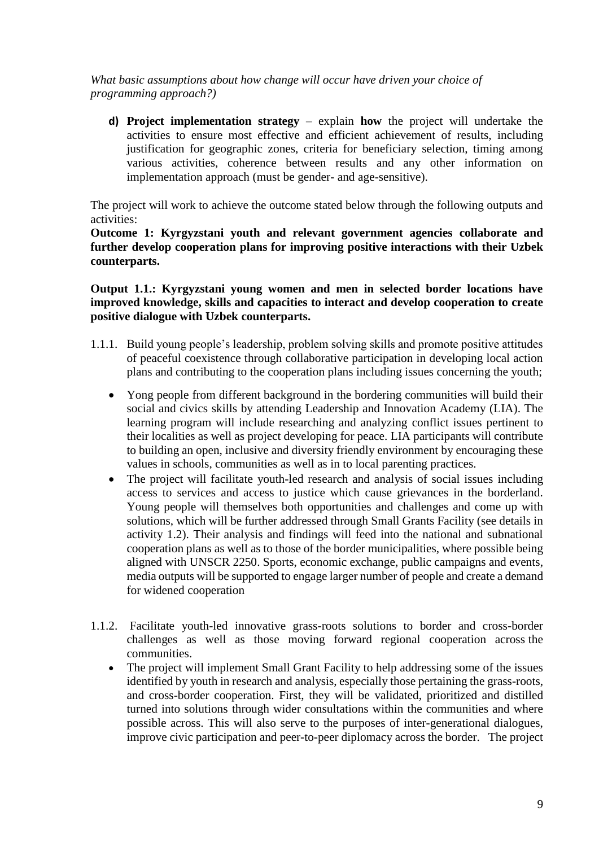*What basic assumptions about how change will occur have driven your choice of programming approach?)*

**d) Project implementation strategy** – explain **how** the project will undertake the activities to ensure most effective and efficient achievement of results, including justification for geographic zones, criteria for beneficiary selection, timing among various activities, coherence between results and any other information on implementation approach (must be gender- and age-sensitive).

The project will work to achieve the outcome stated below through the following outputs and activities:

**Outcome 1: Kyrgyzstani youth and relevant government agencies collaborate and further develop cooperation plans for improving positive interactions with their Uzbek counterparts.**

**Output 1.1.: Kyrgyzstani young women and men in selected border locations have improved knowledge, skills and capacities to interact and develop cooperation to create positive dialogue with Uzbek counterparts.**

- 1.1.1. Build young people's leadership, problem solving skills and promote positive attitudes of peaceful coexistence through collaborative participation in developing local action plans and contributing to the cooperation plans including issues concerning the youth;
	- Yong people from different background in the bordering communities will build their social and civics skills by attending Leadership and Innovation Academy (LIA). The learning program will include researching and analyzing conflict issues pertinent to their localities as well as project developing for peace. LIA participants will contribute to building an open, inclusive and diversity friendly environment by encouraging these values in schools, communities as well as in to local parenting practices.
	- The project will facilitate youth-led research and analysis of social issues including access to services and access to justice which cause grievances in the borderland. Young people will themselves both opportunities and challenges and come up with solutions, which will be further addressed through Small Grants Facility (see details in activity 1.2). Their analysis and findings will feed into the national and subnational cooperation plans as well as to those of the border municipalities, where possible being aligned with UNSCR 2250. Sports, economic exchange, public campaigns and events, media outputs will be supported to engage larger number of people and create a demand for widened cooperation
- 1.1.2. Facilitate youth-led innovative grass-roots solutions to border and cross-border challenges as well as those moving forward regional cooperation across the communities.
	- The project will implement Small Grant Facility to help addressing some of the issues identified by youth in research and analysis, especially those pertaining the grass-roots, and cross-border cooperation. First, they will be validated, prioritized and distilled turned into solutions through wider consultations within the communities and where possible across. This will also serve to the purposes of inter-generational dialogues, improve civic participation and peer-to-peer diplomacy across the border. The project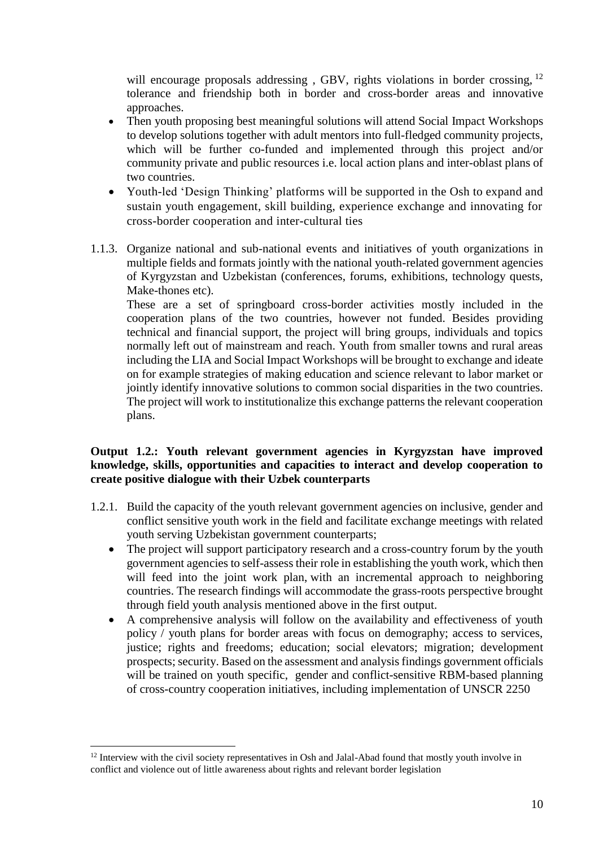will encourage proposals addressing, GBV, rights violations in border crossing, <sup>12</sup> tolerance and friendship both in border and cross-border areas and innovative approaches.

- Then youth proposing best meaningful solutions will attend Social Impact Workshops to develop solutions together with adult mentors into full-fledged community projects, which will be further co-funded and implemented through this project and/or community private and public resources i.e. local action plans and inter-oblast plans of two countries.
- Youth-led 'Design Thinking' platforms will be supported in the Osh to expand and sustain youth engagement, skill building, experience exchange and innovating for cross-border cooperation and inter-cultural ties
- 1.1.3. Organize national and sub-national events and initiatives of youth organizations in multiple fields and formats jointly with the national youth-related government agencies of Kyrgyzstan and Uzbekistan (conferences, forums, exhibitions, technology quests, Make-thones etc).

These are a set of springboard cross-border activities mostly included in the cooperation plans of the two countries, however not funded. Besides providing technical and financial support, the project will bring groups, individuals and topics normally left out of mainstream and reach. Youth from smaller towns and rural areas including the LIA and Social Impact Workshops will be brought to exchange and ideate on for example strategies of making education and science relevant to labor market or jointly identify innovative solutions to common social disparities in the two countries. The project will work to institutionalize this exchange patterns the relevant cooperation plans.

#### **Output 1.2.: Youth relevant government agencies in Kyrgyzstan have improved knowledge, skills, opportunities and capacities to interact and develop cooperation to create positive dialogue with their Uzbek counterparts**

- 1.2.1. Build the capacity of the youth relevant government agencies on inclusive, gender and conflict sensitive youth work in the field and facilitate exchange meetings with related youth serving Uzbekistan government counterparts;
	- The project will support participatory research and a cross-country forum by the youth government agencies to self-assess their role in establishing the youth work, which then will feed into the joint work plan, with an incremental approach to neighboring countries. The research findings will accommodate the grass-roots perspective brought through field youth analysis mentioned above in the first output.
	- A comprehensive analysis will follow on the availability and effectiveness of youth policy / youth plans for border areas with focus on demography; access to services, justice; rights and freedoms; education; social elevators; migration; development prospects; security. Based on the assessment and analysis findings government officials will be trained on youth specific, gender and conflict-sensitive RBM-based planning of cross-country cooperation initiatives, including implementation of UNSCR 2250

1

<sup>&</sup>lt;sup>12</sup> Interview with the civil society representatives in Osh and Jalal-Abad found that mostly youth involve in conflict and violence out of little awareness about rights and relevant border legislation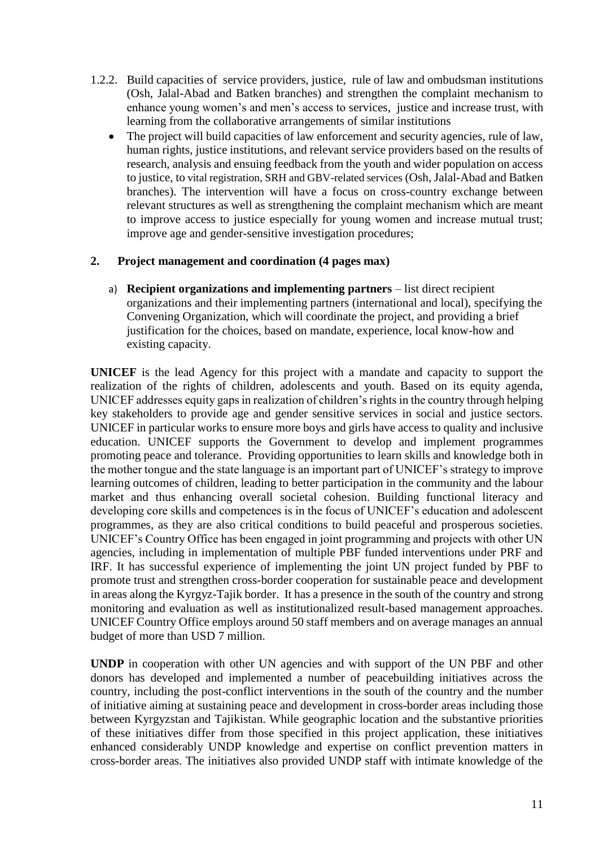- 1.2.2. Build capacities of service providers, justice, rule of law and ombudsman institutions (Osh, Jalal-Abad and Batken branches) and strengthen the complaint mechanism to enhance young women's and men's access to services, justice and increase trust, with learning from the collaborative arrangements of similar institutions
	- The project will build capacities of law enforcement and security agencies, rule of law, human rights, justice institutions, and relevant service providers based on the results of research, analysis and ensuing feedback from the youth and wider population on access to justice, to vital registration, SRH and GBV-related services (Osh, Jalal-Abad and Batken branches). The intervention will have a focus on cross-country exchange between relevant structures as well as strengthening the complaint mechanism which are meant to improve access to justice especially for young women and increase mutual trust; improve age and gender-sensitive investigation procedures;

#### **2. Project management and coordination (4 pages max)**

a) **Recipient organizations and implementing partners** – list direct recipient organizations and their implementing partners (international and local), specifying the Convening Organization, which will coordinate the project, and providing a brief justification for the choices, based on mandate, experience, local know-how and existing capacity.

**UNICEF** is the lead Agency for this project with a mandate and capacity to support the realization of the rights of children, adolescents and youth. Based on its equity agenda, UNICEF addresses equity gaps in realization of children's rights in the country through helping key stakeholders to provide age and gender sensitive services in social and justice sectors. UNICEF in particular works to ensure more boys and girls have access to quality and inclusive education. UNICEF supports the Government to develop and implement programmes promoting peace and tolerance. Providing opportunities to learn skills and knowledge both in the mother tongue and the state language is an important part of UNICEF's strategy to improve learning outcomes of children, leading to better participation in the community and the labour market and thus enhancing overall societal cohesion. Building functional literacy and developing core skills and competences is in the focus of UNICEF's education and adolescent programmes, as they are also critical conditions to build peaceful and prosperous societies. UNICEF's Country Office has been engaged in joint programming and projects with other UN agencies, including in implementation of multiple PBF funded interventions under PRF and IRF. It has successful experience of implementing the joint UN project funded by PBF to promote trust and strengthen cross-border cooperation for sustainable peace and development in areas along the Kyrgyz-Tajik border. It has a presence in the south of the country and strong monitoring and evaluation as well as institutionalized result-based management approaches. UNICEF Country Office employs around 50 staff members and on average manages an annual budget of more than USD 7 million.

**UNDP** in cooperation with other UN agencies and with support of the UN PBF and other donors has developed and implemented a number of peacebuilding initiatives across the country, including the post-conflict interventions in the south of the country and the number of initiative aiming at sustaining peace and development in cross-border areas including those between Kyrgyzstan and Tajikistan. While geographic location and the substantive priorities of these initiatives differ from those specified in this project application, these initiatives enhanced considerably UNDP knowledge and expertise on conflict prevention matters in cross-border areas. The initiatives also provided UNDP staff with intimate knowledge of the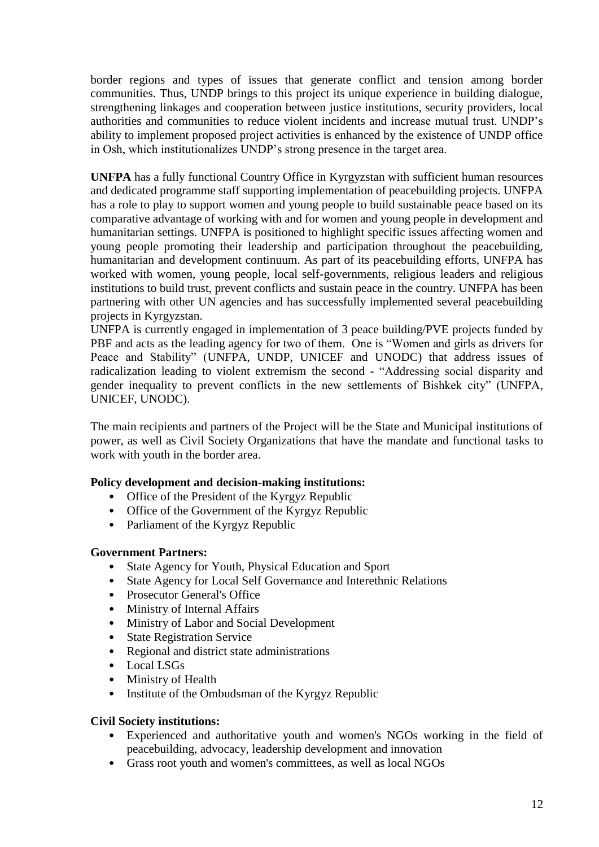border regions and types of issues that generate conflict and tension among border communities. Thus, UNDP brings to this project its unique experience in building dialogue, strengthening linkages and cooperation between justice institutions, security providers, local authorities and communities to reduce violent incidents and increase mutual trust. UNDP's ability to implement proposed project activities is enhanced by the existence of UNDP office in Osh, which institutionalizes UNDP's strong presence in the target area.

**UNFPA** has a fully functional Country Office in Kyrgyzstan with sufficient human resources and dedicated programme staff supporting implementation of peacebuilding projects. UNFPA has a role to play to support women and young people to build sustainable peace based on its comparative advantage of working with and for women and young people in development and humanitarian settings. UNFPA is positioned to highlight specific issues affecting women and young people promoting their leadership and participation throughout the peacebuilding, humanitarian and development continuum. As part of its peacebuilding efforts, UNFPA has worked with women, young people, local self-governments, religious leaders and religious institutions to build trust, prevent conflicts and sustain peace in the country. UNFPA has been partnering with other UN agencies and has successfully implemented several peacebuilding projects in Kyrgyzstan.

UNFPA is currently engaged in implementation of 3 peace building/PVE projects funded by PBF and acts as the leading agency for two of them. One is "Women and girls as drivers for Peace and Stability" (UNFPA, UNDP, UNICEF and UNODC) that address issues of radicalization leading to violent extremism the second - "Addressing social disparity and gender inequality to prevent conflicts in the new settlements of Bishkek city" (UNFPA, UNICEF, UNODC).

The main recipients and partners of the Project will be the State and Municipal institutions of power, as well as Civil Society Organizations that have the mandate and functional tasks to work with youth in the border area.

# **Policy development and decision-making institutions:**

- Office of the President of the Kyrgyz Republic
- Office of the Government of the Kyrgyz Republic
- Parliament of the Kyrgyz Republic

#### **Government Partners:**

- State Agency for Youth, Physical Education and Sport
- State Agency for Local Self Governance and Interethnic Relations
- Prosecutor General's Office
- Ministry of Internal Affairs
- Ministry of Labor and Social Development
- State Registration Service
- Regional and district state administrations
- Local LSGs
- Ministry of Health
- Institute of the Ombudsman of the Kyrgyz Republic

#### **Civil Society institutions:**

- Experienced and authoritative youth and women's NGOs working in the field of peacebuilding, advocacy, leadership development and innovation
- Grass root youth and women's committees, as well as local NGOs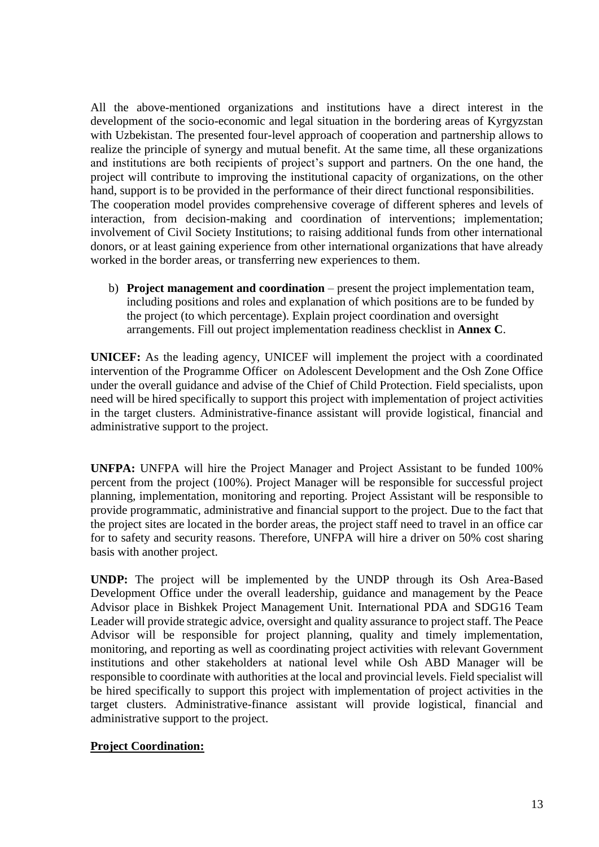All the above-mentioned organizations and institutions have a direct interest in the development of the socio-economic and legal situation in the bordering areas of Kyrgyzstan with Uzbekistan. The presented four-level approach of cooperation and partnership allows to realize the principle of synergy and mutual benefit. At the same time, all these organizations and institutions are both recipients of project's support and partners. On the one hand, the project will contribute to improving the institutional capacity of organizations, on the other hand, support is to be provided in the performance of their direct functional responsibilities. The cooperation model provides comprehensive coverage of different spheres and levels of interaction, from decision-making and coordination of interventions; implementation; involvement of Civil Society Institutions; to raising additional funds from other international donors, or at least gaining experience from other international organizations that have already worked in the border areas, or transferring new experiences to them.

b) **Project management and coordination** – present the project implementation team, including positions and roles and explanation of which positions are to be funded by the project (to which percentage). Explain project coordination and oversight arrangements. Fill out project implementation readiness checklist in **Annex C**.

**UNICEF:** As the leading agency, UNICEF will implement the project with a coordinated intervention of the Programme Officer on Adolescent Development and the Osh Zone Office under the overall guidance and advise of the Chief of Child Protection. Field specialists, upon need will be hired specifically to support this project with implementation of project activities in the target clusters. Administrative-finance assistant will provide logistical, financial and administrative support to the project.

**UNFPA:** UNFPA will hire the Project Manager and Project Assistant to be funded 100% percent from the project (100%). Project Manager will be responsible for successful project planning, implementation, monitoring and reporting. Project Assistant will be responsible to provide programmatic, administrative and financial support to the project. Due to the fact that the project sites are located in the border areas, the project staff need to travel in an office car for to safety and security reasons. Therefore, UNFPA will hire a driver on 50% cost sharing basis with another project.

**UNDP:** The project will be implemented by the UNDP through its Osh Area-Based Development Office under the overall leadership, guidance and management by the Peace Advisor place in Bishkek Project Management Unit. International PDA and SDG16 Team Leader will provide strategic advice, oversight and quality assurance to project staff. The Peace Advisor will be responsible for project planning, quality and timely implementation, monitoring, and reporting as well as coordinating project activities with relevant Government institutions and other stakeholders at national level while Osh ABD Manager will be responsible to coordinate with authorities at the local and provincial levels. Field specialist will be hired specifically to support this project with implementation of project activities in the target clusters. Administrative-finance assistant will provide logistical, financial and administrative support to the project.

# **Project Coordination:**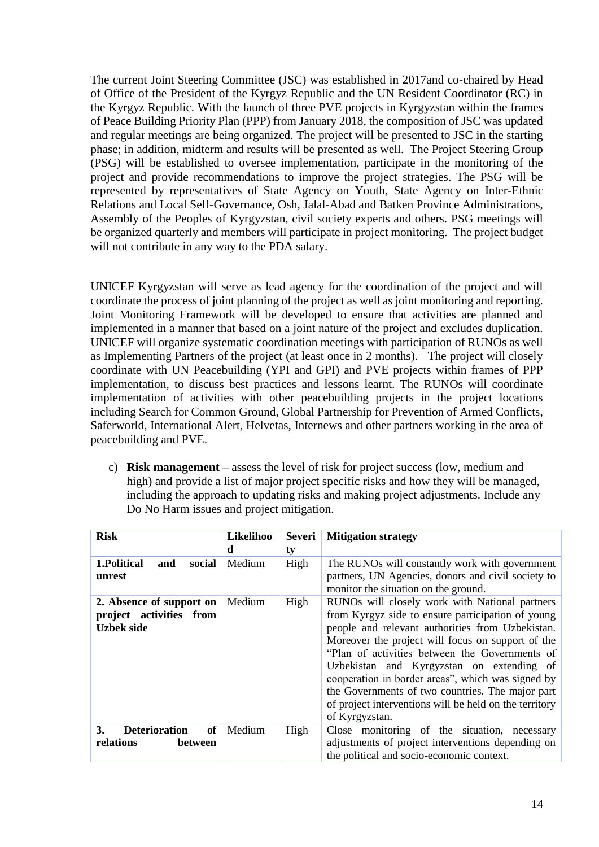The current Joint Steering Committee (JSC) was established in 2017and co-chaired by Head of Office of the President of the Kyrgyz Republic and the UN Resident Coordinator (RC) in the Kyrgyz Republic. With the launch of three PVE projects in Kyrgyzstan within the frames of Peace Building Priority Plan (PPP) from January 2018, the composition of JSC was updated and regular meetings are being organized. The project will be presented to JSC in the starting phase; in addition, midterm and results will be presented as well. The Project Steering Group (PSG) will be established to oversee implementation, participate in the monitoring of the project and provide recommendations to improve the project strategies. The PSG will be represented by representatives of State Agency on Youth, State Agency on Inter-Ethnic Relations and Local Self-Governance, Osh, Jalal-Abad and Batken Province Administrations, Assembly of the Peoples of Kyrgyzstan, civil society experts and others. PSG meetings will be organized quarterly and members will participate in project monitoring. The project budget will not contribute in any way to the PDA salary.

UNICEF Kyrgyzstan will serve as lead agency for the coordination of the project and will coordinate the process of joint planning of the project as well as joint monitoring and reporting. Joint Monitoring Framework will be developed to ensure that activities are planned and implemented in a manner that based on a joint nature of the project and excludes duplication. UNICEF will organize systematic coordination meetings with participation of RUNOs as well as Implementing Partners of the project (at least once in 2 months). The project will closely coordinate with UN Peacebuilding (YPI and GPI) and PVE projects within frames of PPP implementation, to discuss best practices and lessons learnt. The RUNOs will coordinate implementation of activities with other peacebuilding projects in the project locations including Search for Common Ground, Global Partnership for Prevention of Armed Conflicts, Saferworld, International Alert, Helvetas, Internews and other partners working in the area of peacebuilding and PVE.

c) **Risk management** – assess the level of risk for project success (low, medium and high) and provide a list of major project specific risks and how they will be managed, including the approach to updating risks and making project adjustments. Include any Do No Harm issues and project mitigation.

| <b>Risk</b>                                                              | Likelihoo<br>d | <b>Severi</b><br>ty | <b>Mitigation strategy</b>                                                                                                                                                                                                                                                                                                                                                                                                                                                                       |
|--------------------------------------------------------------------------|----------------|---------------------|--------------------------------------------------------------------------------------------------------------------------------------------------------------------------------------------------------------------------------------------------------------------------------------------------------------------------------------------------------------------------------------------------------------------------------------------------------------------------------------------------|
| 1.Political<br>social<br>and<br>unrest                                   | Medium         | High                | The RUNOs will constantly work with government<br>partners, UN Agencies, donors and civil society to<br>monitor the situation on the ground.                                                                                                                                                                                                                                                                                                                                                     |
| 2. Absence of support on<br>project activities from<br><b>Uzbek side</b> | Medium         | High                | RUNOs will closely work with National partners<br>from Kyrgyz side to ensure participation of young<br>people and relevant authorities from Uzbekistan.<br>Moreover the project will focus on support of the<br>"Plan of activities between the Governments of<br>Uzbekistan and Kyrgyzstan on extending of<br>cooperation in border areas", which was signed by<br>the Governments of two countries. The major part<br>of project interventions will be held on the territory<br>of Kyrgyzstan. |
| <b>Deterioration</b><br>3.<br>of<br>relations<br>between                 | Medium         | High                | Close monitoring of the situation, necessary<br>adjustments of project interventions depending on<br>the political and socio-economic context.                                                                                                                                                                                                                                                                                                                                                   |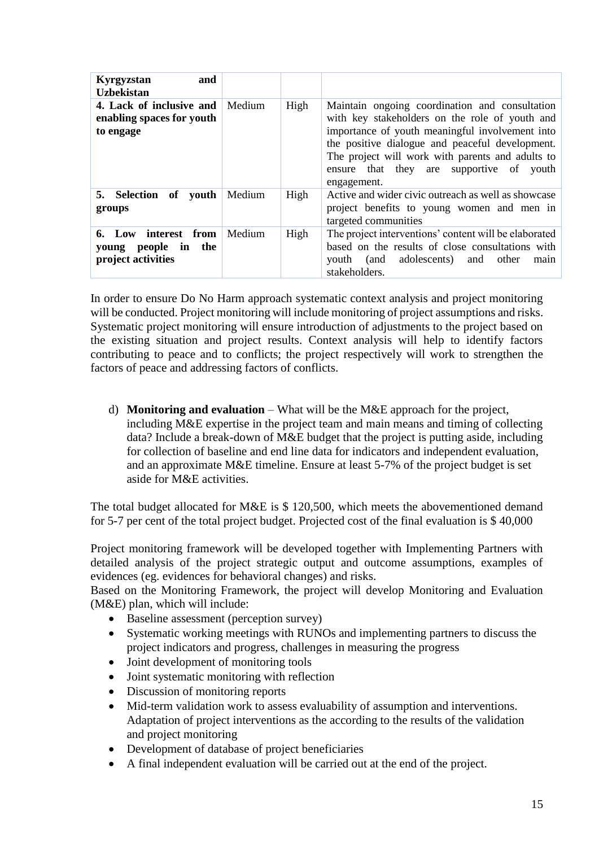| and<br>Kyrgyzstan<br><b>Uzbekistan</b>                                  |        |      |                                                                                                                                                                                                                                                                                                                       |
|-------------------------------------------------------------------------|--------|------|-----------------------------------------------------------------------------------------------------------------------------------------------------------------------------------------------------------------------------------------------------------------------------------------------------------------------|
| 4. Lack of inclusive and<br>enabling spaces for youth<br>to engage      | Medium | High | Maintain ongoing coordination and consultation<br>with key stakeholders on the role of youth and<br>importance of youth meaningful involvement into<br>the positive dialogue and peaceful development.<br>The project will work with parents and adults to<br>ensure that they are supportive of youth<br>engagement. |
| 5. Selection of youth<br>groups                                         | Medium | High | Active and wider civic outreach as well as showcase<br>project benefits to young women and men in<br>targeted communities                                                                                                                                                                                             |
| interest from<br>6. Low<br>people in the<br>young<br>project activities | Medium | High | The project interventions' content will be elaborated<br>based on the results of close consultations with<br>(and adolescents)<br>other<br>and<br>vouth<br>main<br>stakeholders.                                                                                                                                      |

In order to ensure Do No Harm approach systematic context analysis and project monitoring will be conducted. Project monitoring will include monitoring of project assumptions and risks. Systematic project monitoring will ensure introduction of adjustments to the project based on the existing situation and project results. Context analysis will help to identify factors contributing to peace and to conflicts; the project respectively will work to strengthen the factors of peace and addressing factors of conflicts.

d) **Monitoring and evaluation** – What will be the M&E approach for the project, including M&E expertise in the project team and main means and timing of collecting data? Include a break-down of M&E budget that the project is putting aside, including for collection of baseline and end line data for indicators and independent evaluation, and an approximate M&E timeline. Ensure at least 5-7% of the project budget is set aside for M&E activities.

The total budget allocated for M&E is \$ 120,500, which meets the abovementioned demand for 5-7 per cent of the total project budget. Projected cost of the final evaluation is \$ 40,000

Project monitoring framework will be developed together with Implementing Partners with detailed analysis of the project strategic output and outcome assumptions, examples of evidences (eg. evidences for behavioral changes) and risks.

Based on the Monitoring Framework, the project will develop Monitoring and Evaluation (M&E) plan, which will include:

- Baseline assessment (perception survey)
- Systematic working meetings with RUNOs and implementing partners to discuss the project indicators and progress, challenges in measuring the progress
- Joint development of monitoring tools
- Joint systematic monitoring with reflection
- Discussion of monitoring reports
- Mid-term validation work to assess evaluability of assumption and interventions. Adaptation of project interventions as the according to the results of the validation and project monitoring
- Development of database of project beneficiaries
- A final independent evaluation will be carried out at the end of the project.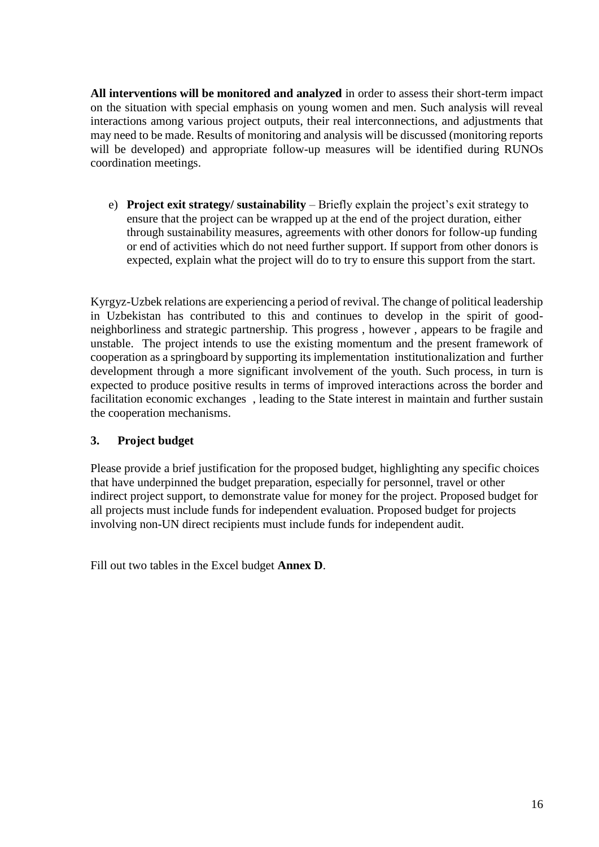**All interventions will be monitored and analyzed** in order to assess their short-term impact on the situation with special emphasis on young women and men. Such analysis will reveal interactions among various project outputs, their real interconnections, and adjustments that may need to be made. Results of monitoring and analysis will be discussed (monitoring reports will be developed) and appropriate follow-up measures will be identified during RUNOs coordination meetings.

e) **Project exit strategy/ sustainability** – Briefly explain the project's exit strategy to ensure that the project can be wrapped up at the end of the project duration, either through sustainability measures, agreements with other donors for follow-up funding or end of activities which do not need further support. If support from other donors is expected, explain what the project will do to try to ensure this support from the start.

Kyrgyz-Uzbek relations are experiencing a period of revival. The change of political leadership in Uzbekistan has contributed to this and continues to develop in the spirit of goodneighborliness and strategic partnership. This progress , however , appears to be fragile and unstable. The project intends to use the existing momentum and the present framework of cooperation as a springboard by supporting its implementation institutionalization and further development through a more significant involvement of the youth. Such process, in turn is expected to produce positive results in terms of improved interactions across the border and facilitation economic exchanges , leading to the State interest in maintain and further sustain the cooperation mechanisms.

# **3. Project budget**

Please provide a brief justification for the proposed budget, highlighting any specific choices that have underpinned the budget preparation, especially for personnel, travel or other indirect project support, to demonstrate value for money for the project. Proposed budget for all projects must include funds for independent evaluation. Proposed budget for projects involving non-UN direct recipients must include funds for independent audit.

Fill out two tables in the Excel budget **Annex D**.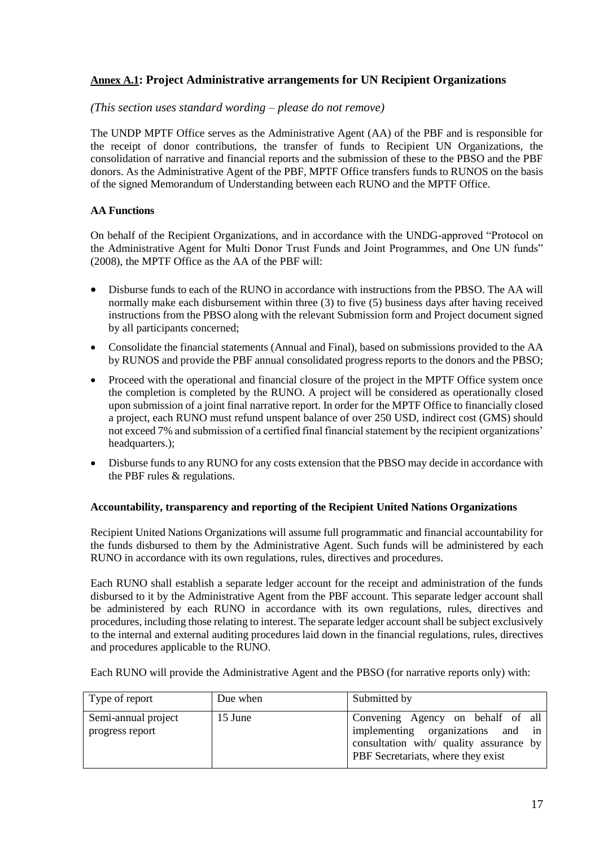# **Annex A.1: Project Administrative arrangements for UN Recipient Organizations**

#### *(This section uses standard wording – please do not remove)*

The UNDP MPTF Office serves as the Administrative Agent (AA) of the PBF and is responsible for the receipt of donor contributions, the transfer of funds to Recipient UN Organizations, the consolidation of narrative and financial reports and the submission of these to the PBSO and the PBF donors. As the Administrative Agent of the PBF, MPTF Office transfers funds to RUNOS on the basis of the [signed Memorandum of Understanding](http://mptf.undp.org/document/download/10425) between each RUNO and the MPTF Office.

#### **AA Functions**

On behalf of the Recipient Organizations, and in accordance with the UNDG-approved "Protocol on the Administrative Agent for Multi Donor Trust Funds and Joint Programmes, and One UN funds" (2008), the MPTF Office as the AA of the PBF will:

- Disburse funds to each of the RUNO in accordance with instructions from the PBSO. The AA will normally make each disbursement within three (3) to five (5) business days after having received instructions from the PBSO along with the relevant Submission form and Project document signed by all participants concerned;
- Consolidate the financial statements (Annual and Final), based on submissions provided to the AA by RUNOS and provide the PBF annual consolidated progress reports to the donors and the PBSO;
- Proceed with the operational and financial closure of the project in the MPTF Office system once the completion is completed by the RUNO. A project will be considered as operationally closed upon submission of a joint final narrative report. In order for the MPTF Office to financially closed a project, each RUNO must refund unspent balance of over 250 USD, indirect cost (GMS) should not exceed 7% and submission of a certified final financial statement by the recipient organizations' headquarters.);
- Disburse funds to any RUNO for any costs extension that the PBSO may decide in accordance with the PBF rules & regulations.

#### **Accountability, transparency and reporting of the Recipient United Nations Organizations**

Recipient United Nations Organizations will assume full programmatic and financial accountability for the funds disbursed to them by the Administrative Agent. Such funds will be administered by each RUNO in accordance with its own regulations, rules, directives and procedures.

Each RUNO shall establish a separate ledger account for the receipt and administration of the funds disbursed to it by the Administrative Agent from the PBF account. This separate ledger account shall be administered by each RUNO in accordance with its own regulations, rules, directives and procedures, including those relating to interest. The separate ledger account shall be subject exclusively to the internal and external auditing procedures laid down in the financial regulations, rules, directives and procedures applicable to the RUNO.

Each RUNO will provide the Administrative Agent and the PBSO (for narrative reports only) with:

| Type of report                         | Due when | Submitted by                                                                                                                                            |
|----------------------------------------|----------|---------------------------------------------------------------------------------------------------------------------------------------------------------|
| Semi-annual project<br>progress report | 15 June  | Convening Agency on behalf of all<br>implementing organizations and in<br>consultation with/ quality assurance by<br>PBF Secretariats, where they exist |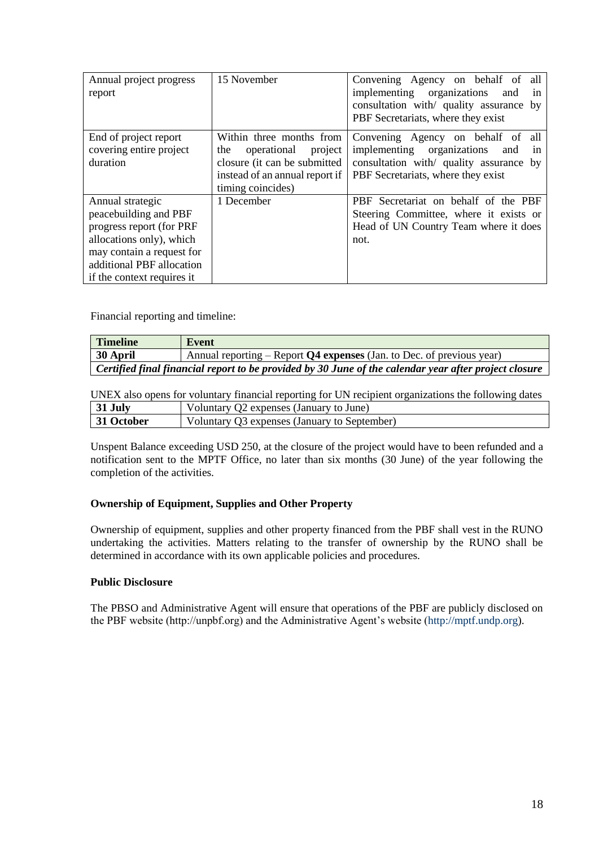| Annual project progress<br>report                                                                                                                                                         | 15 November                                                                                                                                      | Convening Agency on behalf of<br>all<br>implementing organizations<br>and<br>in<br>consultation with/ quality assurance by<br>PBF Secretariats, where they exist |
|-------------------------------------------------------------------------------------------------------------------------------------------------------------------------------------------|--------------------------------------------------------------------------------------------------------------------------------------------------|------------------------------------------------------------------------------------------------------------------------------------------------------------------|
| End of project report<br>covering entire project<br>duration                                                                                                                              | Within three months from<br>operational<br>the<br>project<br>closure (it can be submitted<br>instead of an annual report if<br>timing coincides) | Convening Agency on behalf of<br>all<br>implementing organizations<br>and<br>1n<br>consultation with/ quality assurance by<br>PBF Secretariats, where they exist |
| Annual strategic<br>peacebuilding and PBF<br>progress report (for PRF<br>allocations only), which<br>may contain a request for<br>additional PBF allocation<br>if the context requires it | 1 December                                                                                                                                       | PBF Secretariat on behalf of the PBF<br>Steering Committee, where it exists or<br>Head of UN Country Team where it does<br>not.                                  |

Financial reporting and timeline:

| <b>Timeline</b>                                                                                       | Event                                                                   |
|-------------------------------------------------------------------------------------------------------|-------------------------------------------------------------------------|
| 30 April                                                                                              | Annual reporting – Report $Q4$ expenses (Jan. to Dec. of previous year) |
| Certified final financial report to be provided by 30 June of the calendar year after project closure |                                                                         |

UNEX also opens for voluntary financial reporting for UN recipient organizations the following dates

| 31 July    | Voluntary Q2 expenses (January to June)      |
|------------|----------------------------------------------|
| 31 October | Voluntary Q3 expenses (January to September) |

Unspent Balance exceeding USD 250, at the closure of the project would have to been refunded and a notification sent to the MPTF Office, no later than six months (30 June) of the year following the completion of the activities.

#### **Ownership of Equipment, Supplies and Other Property**

Ownership of equipment, supplies and other property financed from the PBF shall vest in the RUNO undertaking the activities. Matters relating to the transfer of ownership by the RUNO shall be determined in accordance with its own applicable policies and procedures.

#### **Public Disclosure**

The PBSO and Administrative Agent will ensure that operations of the PBF are publicly disclosed on the PBF website (http://unpbf.org) and the Administrative Agent's website [\(http://mptf.undp.org\)](http://mptf.undp.org/).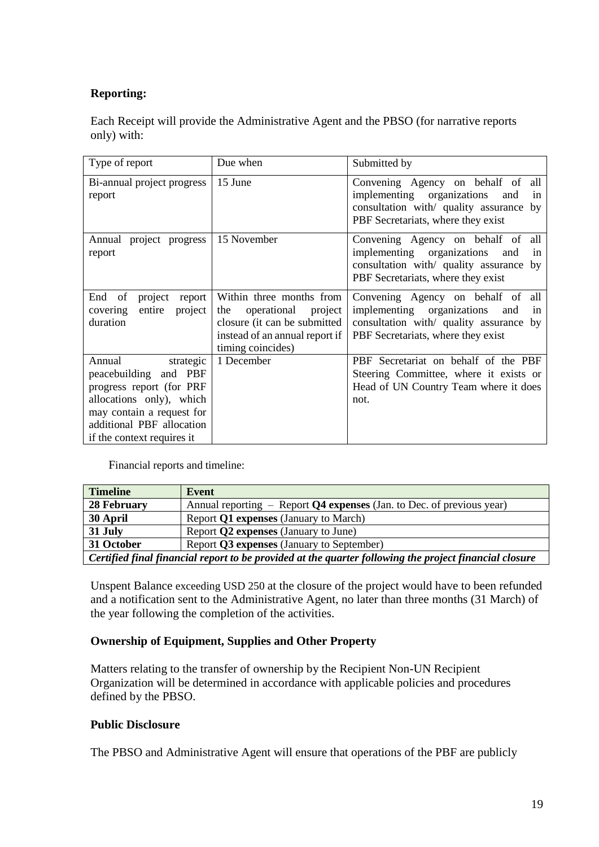# **Reporting:**

Each Receipt will provide the Administrative Agent and the PBSO (for narrative reports only) with:

| Type of report                                                                                                                                                                               | Due when                                                                                                                                         | Submitted by                                                                                                                                                        |
|----------------------------------------------------------------------------------------------------------------------------------------------------------------------------------------------|--------------------------------------------------------------------------------------------------------------------------------------------------|---------------------------------------------------------------------------------------------------------------------------------------------------------------------|
| Bi-annual project progress<br>report                                                                                                                                                         | 15 June                                                                                                                                          | Convening Agency on behalf of all<br>implementing organizations<br>and<br>in<br>consultation with quality assurance<br>by<br>PBF Secretariats, where they exist     |
| Annual project progress<br>report                                                                                                                                                            | 15 November                                                                                                                                      | Convening Agency on behalf of all<br>implementing organizations<br>and<br>in<br>consultation with quality assurance<br>by<br>PBF Secretariats, where they exist     |
| of<br>project<br>End<br>report<br>covering<br>entire<br>project<br>duration                                                                                                                  | Within three months from<br>the<br>operational<br>project<br>closure (it can be submitted<br>instead of an annual report if<br>timing coincides) | Convening Agency on behalf of<br>all<br>implementing organizations<br>and<br>in<br>consultation with/ quality assurance<br>by<br>PBF Secretariats, where they exist |
| Annual<br>strategic<br>peacebuilding and PBF<br>progress report (for PRF<br>allocations only), which<br>may contain a request for<br>additional PBF allocation<br>if the context requires it | 1 December                                                                                                                                       | PBF Secretariat on behalf of the PBF<br>Steering Committee, where it exists or<br>Head of UN Country Team where it does<br>not.                                     |

Financial reports and timeline:

| <b>Timeline</b>                                                                                        | Event                                                                   |
|--------------------------------------------------------------------------------------------------------|-------------------------------------------------------------------------|
| 28 February                                                                                            | Annual reporting $-$ Report Q4 expenses (Jan. to Dec. of previous year) |
| 30 April                                                                                               | Report Q1 expenses (January to March)                                   |
| 31 July                                                                                                | Report <b>Q2</b> expenses (January to June)                             |
| 31 October                                                                                             | Report Q3 expenses (January to September)                               |
| Certified final financial report to be provided at the quarter following the project financial closure |                                                                         |

Unspent Balance exceeding USD 250 at the closure of the project would have to been refunded and a notification sent to the Administrative Agent, no later than three months (31 March) of the year following the completion of the activities.

# **Ownership of Equipment, Supplies and Other Property**

Matters relating to the transfer of ownership by the Recipient Non-UN Recipient Organization will be determined in accordance with applicable policies and procedures defined by the PBSO.

# **Public Disclosure**

The PBSO and Administrative Agent will ensure that operations of the PBF are publicly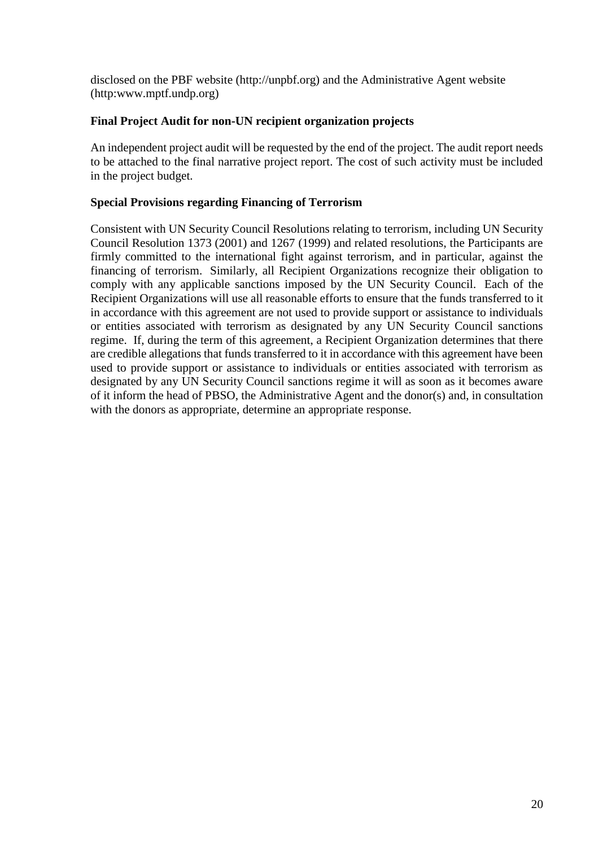disclosed on the PBF website (http://unpbf.org) and the Administrative Agent website (http:www.mptf.undp.org)

# **Final Project Audit for non-UN recipient organization projects**

An independent project audit will be requested by the end of the project. The audit report needs to be attached to the final narrative project report. The cost of such activity must be included in the project budget.

# **Special Provisions regarding Financing of Terrorism**

Consistent with UN Security Council Resolutions relating to terrorism, including UN Security Council Resolution 1373 (2001) and 1267 (1999) and related resolutions, the Participants are firmly committed to the international fight against terrorism, and in particular, against the financing of terrorism. Similarly, all Recipient Organizations recognize their obligation to comply with any applicable sanctions imposed by the UN Security Council. Each of the Recipient Organizations will use all reasonable efforts to ensure that the funds transferred to it in accordance with this agreement are not used to provide support or assistance to individuals or entities associated with terrorism as designated by any UN Security Council sanctions regime. If, during the term of this agreement, a Recipient Organization determines that there are credible allegations that funds transferred to it in accordance with this agreement have been used to provide support or assistance to individuals or entities associated with terrorism as designated by any UN Security Council sanctions regime it will as soon as it becomes aware of it inform the head of PBSO, the Administrative Agent and the donor(s) and, in consultation with the donors as appropriate, determine an appropriate response.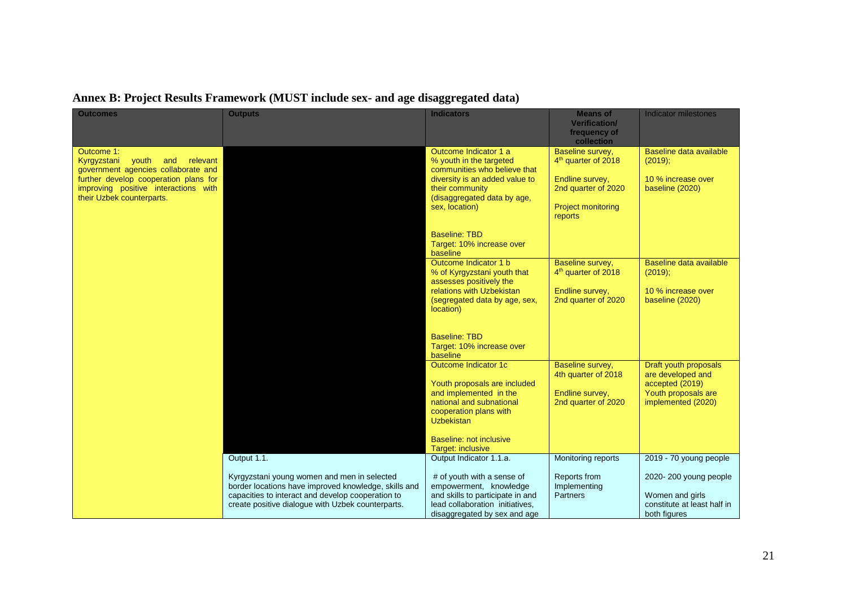| <b>Outcomes</b>                                                                                                                                                                                            | <b>Outputs</b>                                                                                                                                                                                                | <b>Indicators</b>                                                                                                                                                                                              | <b>Means of</b><br><b>Verification/</b><br>frequency of<br>collection                                                                 | <b>Indicator milestones</b>                                                                                |
|------------------------------------------------------------------------------------------------------------------------------------------------------------------------------------------------------------|---------------------------------------------------------------------------------------------------------------------------------------------------------------------------------------------------------------|----------------------------------------------------------------------------------------------------------------------------------------------------------------------------------------------------------------|---------------------------------------------------------------------------------------------------------------------------------------|------------------------------------------------------------------------------------------------------------|
| Outcome 1:<br>Kyrgyzstani<br>vouth<br>relevant<br>and<br>government agencies collaborate and<br>further develop cooperation plans for<br>improving positive interactions with<br>their Uzbek counterparts. |                                                                                                                                                                                                               | Outcome Indicator 1 a<br>% youth in the targeted<br>communities who believe that<br>diversity is an added value to<br>their community<br>(disaggregated data by age,<br>sex, location)<br><b>Baseline: TBD</b> | Baseline survey,<br>4 <sup>th</sup> quarter of 2018<br>Endline survey,<br>2nd quarter of 2020<br><b>Project monitoring</b><br>reports | Baseline data available<br>$(2019)$ ;<br>10 % increase over<br>baseline (2020)                             |
|                                                                                                                                                                                                            |                                                                                                                                                                                                               | Target: 10% increase over<br>baseline<br>Outcome Indicator 1 b<br>% of Kyrgyzstani youth that<br>assesses positively the<br>relations with Uzbekistan<br>(segregated data by age, sex,<br>location)            | Baseline survey,<br>4 <sup>th</sup> quarter of 2018<br>Endline survey,<br>2nd quarter of 2020                                         | Baseline data available<br>(2019);<br>10 % increase over<br>baseline (2020)                                |
|                                                                                                                                                                                                            |                                                                                                                                                                                                               | <b>Baseline: TBD</b><br>Target: 10% increase over<br>baseline                                                                                                                                                  |                                                                                                                                       |                                                                                                            |
|                                                                                                                                                                                                            |                                                                                                                                                                                                               | Outcome Indicator 1c<br>Youth proposals are included<br>and implemented in the<br>national and subnational<br>cooperation plans with<br><b>Uzbekistan</b>                                                      | Baseline survey,<br>4th quarter of 2018<br>Endline survey,<br>2nd quarter of 2020                                                     | Draft youth proposals<br>are developed and<br>accepted (2019)<br>Youth proposals are<br>implemented (2020) |
|                                                                                                                                                                                                            | Output 1.1.                                                                                                                                                                                                   | Baseline: not inclusive<br>Target: inclusive<br>Output Indicator 1.1.a.                                                                                                                                        | Monitoring reports                                                                                                                    | 2019 - 70 young people                                                                                     |
|                                                                                                                                                                                                            | Kyrgyzstani young women and men in selected<br>border locations have improved knowledge, skills and<br>capacities to interact and develop cooperation to<br>create positive dialogue with Uzbek counterparts. | # of youth with a sense of<br>empowerment, knowledge<br>and skills to participate in and<br>lead collaboration initiatives,<br>disaggregated by sex and age                                                    | Reports from<br>Implementing<br>Partners                                                                                              | 2020-200 young people<br>Women and girls<br>constitute at least half in<br>both figures                    |

# **Annex B: Project Results Framework (MUST include sex- and age disaggregated data)**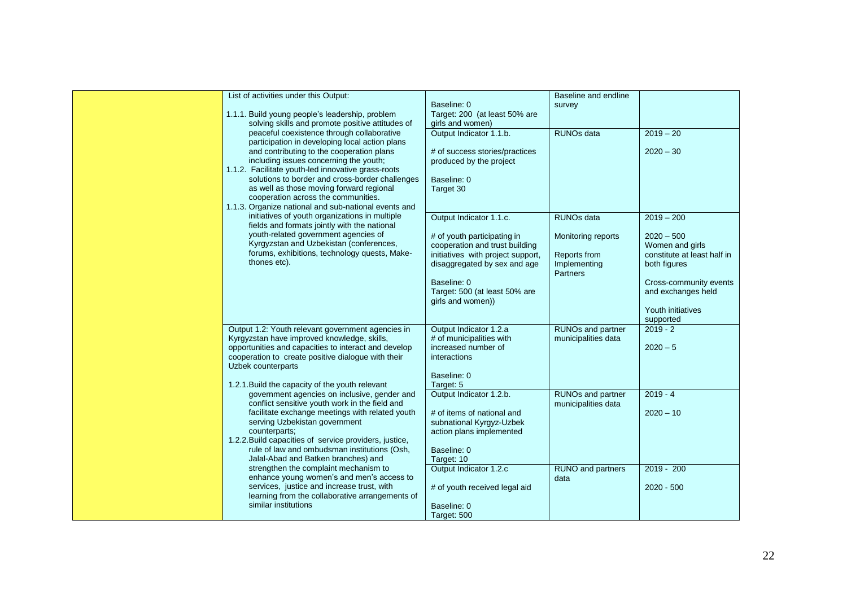| List of activities under this Output:                  |                                   | Baseline and endline     |                             |
|--------------------------------------------------------|-----------------------------------|--------------------------|-----------------------------|
|                                                        | Baseline: 0                       | survey                   |                             |
| 1.1.1. Build young people's leadership, problem        | Target: 200 (at least 50% are     |                          |                             |
| solving skills and promote positive attitudes of       | girls and women)                  |                          |                             |
| peaceful coexistence through collaborative             | Output Indicator 1.1.b.           | <b>RUNOs data</b>        | $2019 - 20$                 |
| participation in developing local action plans         |                                   |                          |                             |
| and contributing to the cooperation plans              | # of success stories/practices    |                          | $2020 - 30$                 |
| including issues concerning the youth;                 | produced by the project           |                          |                             |
|                                                        |                                   |                          |                             |
| 1.1.2. Facilitate youth-led innovative grass-roots     |                                   |                          |                             |
| solutions to border and cross-border challenges        | Baseline: 0                       |                          |                             |
| as well as those moving forward regional               | Target 30                         |                          |                             |
| cooperation across the communities.                    |                                   |                          |                             |
| 1.1.3. Organize national and sub-national events and   |                                   |                          |                             |
| initiatives of youth organizations in multiple         | Output Indicator 1.1.c.           | <b>RUNOs data</b>        | $2019 - 200$                |
| fields and formats jointly with the national           |                                   |                          |                             |
| youth-related government agencies of                   | # of youth participating in       | Monitoring reports       | $2020 - 500$                |
| Kyrgyzstan and Uzbekistan (conferences,                | cooperation and trust building    |                          | Women and girls             |
| forums, exhibitions, technology quests, Make-          |                                   | Reports from             | constitute at least half in |
| thones etc).                                           | initiatives with project support, |                          |                             |
|                                                        | disaggregated by sex and age      | Implementing             | both figures                |
|                                                        |                                   | Partners                 |                             |
|                                                        | Baseline: 0                       |                          | Cross-community events      |
|                                                        | Target: 500 (at least 50% are     |                          | and exchanges held          |
|                                                        | girls and women))                 |                          |                             |
|                                                        |                                   |                          | Youth initiatives           |
|                                                        |                                   |                          | supported                   |
| Output 1.2: Youth relevant government agencies in      | Output Indicator 1.2.a            | <b>RUNOs and partner</b> | $2019 - 2$                  |
| Kyrgyzstan have improved knowledge, skills,            | # of municipalities with          | municipalities data      |                             |
| opportunities and capacities to interact and develop   | increased number of               |                          | $2020 - 5$                  |
| cooperation to create positive dialogue with their     | interactions                      |                          |                             |
| Uzbek counterparts                                     |                                   |                          |                             |
|                                                        | Baseline: 0                       |                          |                             |
|                                                        |                                   |                          |                             |
| 1.2.1. Build the capacity of the youth relevant        | Target: 5                         |                          |                             |
| government agencies on inclusive, gender and           | Output Indicator 1.2.b.           | RUNOs and partner        | $2019 - 4$                  |
| conflict sensitive youth work in the field and         |                                   | municipalities data      |                             |
| facilitate exchange meetings with related youth        | # of items of national and        |                          | $2020 - 10$                 |
| serving Uzbekistan government                          | subnational Kyrgyz-Uzbek          |                          |                             |
| counterparts;                                          | action plans implemented          |                          |                             |
| 1.2.2. Build capacities of service providers, justice, |                                   |                          |                             |
| rule of law and ombudsman institutions (Osh,           | Baseline: 0                       |                          |                             |
| Jalal-Abad and Batken branches) and                    | Target: 10                        |                          |                             |
| strengthen the complaint mechanism to                  | Output Indicator 1.2.c            | RUNO and partners        | $2019 - 200$                |
| enhance young women's and men's access to              |                                   | data                     |                             |
| services, justice and increase trust, with             | # of youth received legal aid     |                          | $2020 - 500$                |
| learning from the collaborative arrangements of        |                                   |                          |                             |
| similar institutions                                   |                                   |                          |                             |
|                                                        | Baseline: 0                       |                          |                             |
|                                                        | Target: 500                       |                          |                             |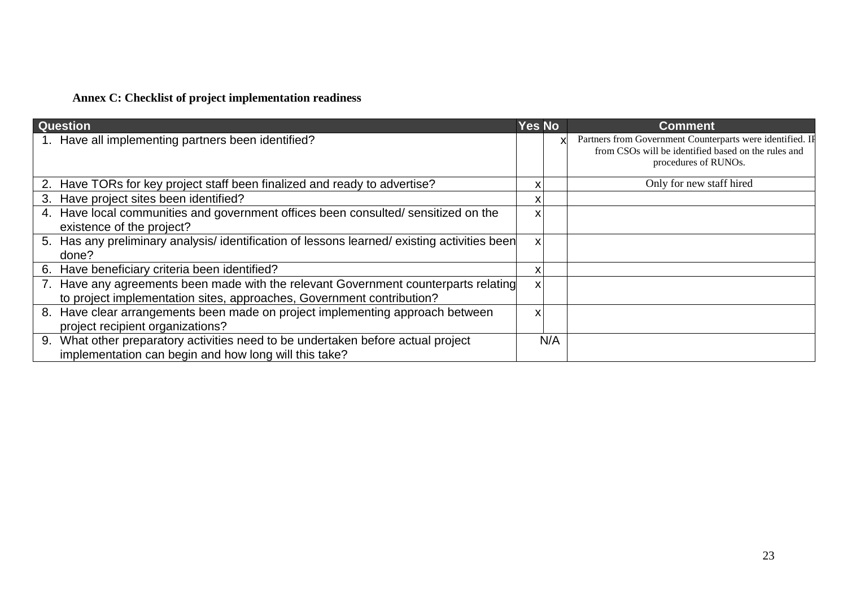# **Annex C: Checklist of project implementation readiness**

| <b>Question</b>                                                                                                                                              | <b>Yes No</b> |     | <b>Comment</b>                                                                                                                           |
|--------------------------------------------------------------------------------------------------------------------------------------------------------------|---------------|-----|------------------------------------------------------------------------------------------------------------------------------------------|
| 1. Have all implementing partners been identified?                                                                                                           |               |     | Partners from Government Counterparts were identified. IF<br>from CSOs will be identified based on the rules and<br>procedures of RUNOs. |
| 2. Have TORs for key project staff been finalized and ready to advertise?                                                                                    |               |     | Only for new staff hired                                                                                                                 |
| Have project sites been identified?<br>3.                                                                                                                    |               |     |                                                                                                                                          |
| Have local communities and government offices been consulted/ sensitized on the<br>4.<br>existence of the project?                                           | x             |     |                                                                                                                                          |
| 5. Has any preliminary analysis/identification of lessons learned/existing activities been<br>done?                                                          | $\mathsf{x}$  |     |                                                                                                                                          |
| Have beneficiary criteria been identified?<br>6.                                                                                                             |               |     |                                                                                                                                          |
| 7. Have any agreements been made with the relevant Government counterparts relating<br>to project implementation sites, approaches, Government contribution? | X             |     |                                                                                                                                          |
| Have clear arrangements been made on project implementing approach between<br>8.<br>project recipient organizations?                                         | X             |     |                                                                                                                                          |
| What other preparatory activities need to be undertaken before actual project<br>9.<br>implementation can begin and how long will this take?                 |               | N/A |                                                                                                                                          |